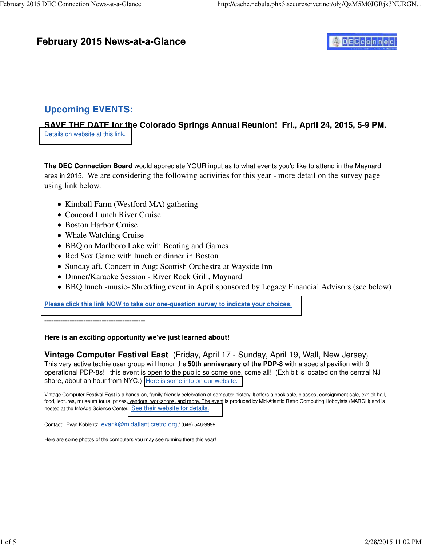# **February 2015 News-at-a-Glance**



# **Upcoming EVENTS:**

**SAVE THE DATE for the Colorado Springs Annual Reunion! Fri., April 24, 2015, 5-9 PM.**  [Details on website at this link.](http://www.decconnection.org/cxo.htm)

#### -------------------------------------------------------------------------

**The DEC Connection Board** would appreciate YOUR input as to what events you'd like to attend in the Maynard area in 2015. We are considering the following activities for this year - more detail on the survey page using link below.

- Kimball Farm (Westford MA) gathering
- Concord Lunch River Cruise
- Boston Harbor Cruise
- Whale Watching Cruise
- BBQ on Marlboro Lake with Boating and Games
- Red Sox Game with lunch or dinner in Boston
- Sunday aft. Concert in Aug: Scottish Orchestra at Wayside Inn
- Dinner/Karaoke Session River Rock Grill, Maynard
- BBQ lunch -music- Shredding event in April sponsored by Legacy Financial Advisors (see below)

**[Please click this link NOW to take our one-question survey to indicate your choices](https://www.justsurvey.me/5375756f733f)**.

**--------------------------------------------**

### **Here is an exciting opportunity we've just learned about!**

**Vintage Computer Festival East** (Friday, April 17 - Sunday, April 19, Wall, New Jersey) This very active techie user group will honor the **50th anniversary of the PDP-8** with a special pavilion with 9 operational PDP-8s! this event is open to the public so come one, come all! (Exhibit is located on the central NJ shore, about an hour from NYC.) [Here is some info on our website.](http://www.decconnection.org/vintage.org)

Vintage Computer Festival East is a hands-on, family-friendly celebration of computer history. It offers a book sale, classes, consignment sale, exhibit hall, food, lectures, museum tours, prizes, vendors, workshops, and more. The event is produced by Mid-Atlantic Retro Computing Hobbyists (MARCH) and is hosted at the InfoAge Science Center. [See their website for details.](http://www.vintage.org/2015/east/)

Contact: Evan Koblentz [evank@midatlanticretro.org](mailto:evank@midatlanticretro.org) / (646) 546-9999

Here are some photos of the computers you may see running there this year!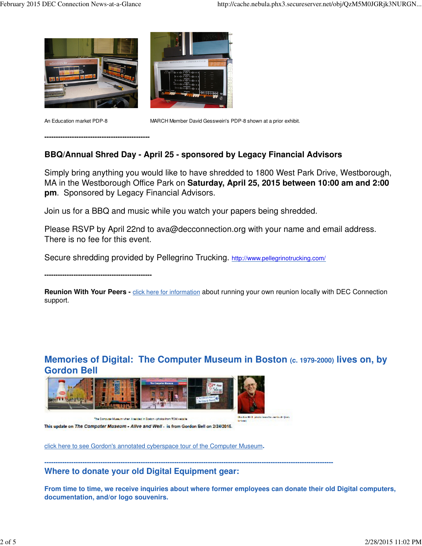

**----------------------------------------------**



An Education market PDP-8 MARCH Member David Gesswein's PDP-8 shown at a prior exhibit.

### **BBQ/Annual Shred Day - April 25 - sponsored by Legacy Financial Advisors**

Simply bring anything you would like to have shredded to 1800 West Park Drive, Westborough, MA in the Westborough Office Park on **Saturday, April 25, 2015 between 10:00 am and 2:00 pm**. Sponsored by Legacy Financial Advisors.

Join us for a BBQ and music while you watch your papers being shredded.

Please RSVP by April 22nd to [ava@decconnection.org wi](mailto:ava@decconnection.org)th your name and email address. There is no fee for this event.

Secure shredding provided by Pellegrino Trucking. [http://www.pellegrinotrucking.com/](http://www.pellegrinotrucking.com)

**------------------------------------------------**

Reunion With Your Peers - **click here for information** about running your own reunion locally with DEC Connection support.

## **Memories of Digital: The Computer Museum in Boston (c. 1979-2000) lives on, by Gordon Bell**



This update on The Computer Museum - Allve and Well - is from Gordon Bell on 2/24/2016.

click here to see Gordon's annotated cyberspace tour of the Computer Museum**.**

**---------------------------------------------------------------------------------------------------------------------------------**

**Where to donate your old Digital Equipment gear:**

**From time to time, we receive inquiries about where former employees can donate their old Digital computers, documentation, and/or logo souvenirs.**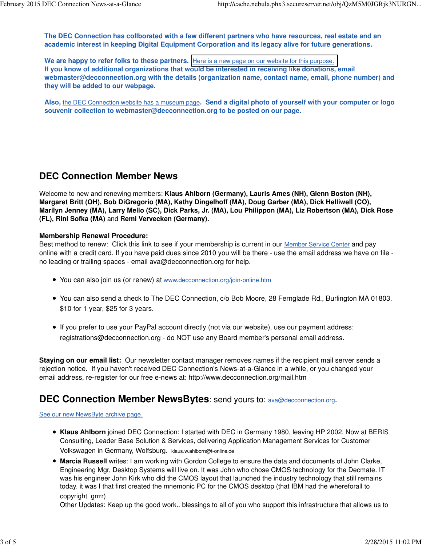**The DEC Connection has collborated with a few different partners who have resources, real estate and an academic interest in keeping Digital Equipment Corporation and its legacy alive for future generations.** 

We are happy to refer folks to these partners. [Here is a new page on our website for this purpose.](http://www.decconnection.org/DECdonations.htm) **If you know of additional organizations that would be interested in receiving like donations, email [webmaster@decconnection.org w](mailto:webmaster@decconnection.org)ith the details (organization name, contact name, email, phone number) and they will be added to our webpage.**

**Also,** the DEC Connection website has a museum page**. Send a digital photo of yourself with your computer or logo souvenir collection to [webmaster@decconnection.org to](mailto:webmaster@decconnection.org) be posted on our page.**

### **DEC Connection Member News**

Welcome to new and renewing members: **Klaus Ahlborn (Germany), Lauris Ames (NH), Glenn Boston (NH), Margaret Britt (OH), Bob DiGregorio (MA), Kathy Dingelhoff (MA), Doug Garber (MA), Dick Helliwell (CO), Marilyn Jenney (MA), Larry Mello (SC), Dick Parks, Jr. (MA), Lou Philippon (MA), Liz Robertson (MA), Dick Rose (FL), Rini Sofka (MA)** and **Remi Vervecken (Germany).**

### **Membership Renewal Procedure:**

Best method to renew: Click this link to see if your membership is current in our Member Service Center and pay online with a credit card. If you have paid dues since 2010 you will be there - use the email address we have on file no leading or trailing spaces - email [ava@decconnection.org fo](mailto:ava@decconnection.org)r help.

- You can also join us (or renew) at [www.decconnection.org/join-online.htm](http://www.decconnection.org/join-online.htm)
- You can also send a check to The DEC Connection, c/o Bob Moore, 28 Fernglade Rd., Burlington MA 01803. \$10 for 1 year, \$25 for 3 years.
- If you prefer to use your PayPal account directly (not via our website), use our payment address: [registrations@decconnection.org - d](mailto:registrations@decconnection.org)o NOT use any Board member's personal email address.

**Staying on our email list:** Our newsletter contact manager removes names if the recipient mail server sends a rejection notice. If you haven't received DEC Connection's News-at-a-Glance in a while, or you changed your email address, re-register for our free e-news at: <http://www.decconnection.org/mail.htm>

## **DEC Connection Member NewsBytes:** send yours to: **[ava@decconnection.org](mailto:ava@decconnection.org)**.

#### See our new NewsByte archive page.

- **Klaus Ahlborn** joined DEC Connection: I started with DEC in Germany 1980, leaving HP 2002. Now at BERIS Consulting, Leader Base Solution & Services, delivering Application Management Services for Customer Volkswagen in Germany, Wolfsburg. klaus.w.[ahlborn@t-online.de](mailto:ahlborn@t-online.de)
- **Marcia Russell** writes: I am working with Gordon College to ensure the data and documents of John Clarke, Engineering Mgr, Desktop Systems will live on. It was John who chose CMOS technology for the Decmate. IT was his engineer John Kirk who did the CMOS layout that launched the industry technology that still remains today. it was I that first created the mnemonic PC for the CMOS desktop (that IBM had the whereforall to copyright grrrr)

Other Updates: Keep up the good work.. blessings to all of you who support this infrastructure that allows us to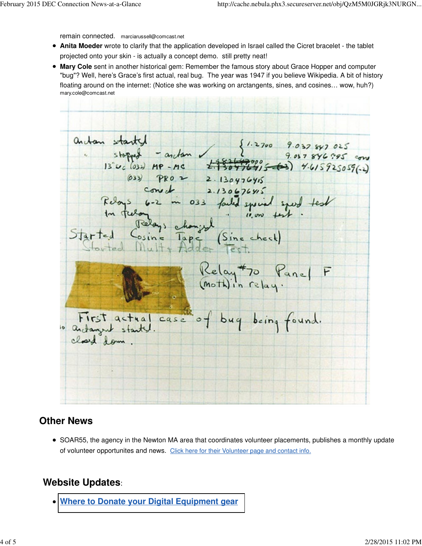remain connected. [marciarussell@comcast.net](mailto:marciarussell@comcast.net)

- **Anita Moeder** wrote to clarify that the application developed in Israel called the Cicret bracelet the tablet projected onto your skin - is actually a concept demo. still pretty neat!
- **Mary Cole** sent in another historical gem: Remember the famous story about Grace Hopper and computer "bug"? Well, here's Grace's first actual, real bug. The year was 1947 if you believe Wikipedia. A bit of history floating around on the internet: (Notice she was working on arctangents, sines, and cosines… wow, huh?) mary[.cole@comcast.net](mailto:cole@comcast.net)

antan started starty - andam {1.2700 9.037 847 025<br>stopped - andam {1.2700 9.037 846 7.95 com (033) PRO 2 2.130476415  $const$  2.130676415 loys 6-2 in 033 failed spiral spend  $(0, 0)$ E (Sine check) Relay to Panel F First actual case of bug being found.<br>andanyw stanty.

## **Other News**

• SOAR55, the agency in the Newton MA area that coordinates volunteer placements, publishes a monthly update of volunteer opportunites and news. Click here for their Volunteer page and contact info.

## **Website Updates**:

**[Where to Donate your Digital Equipment gear](http://www.decconnection.org/DECdonations.htm)**